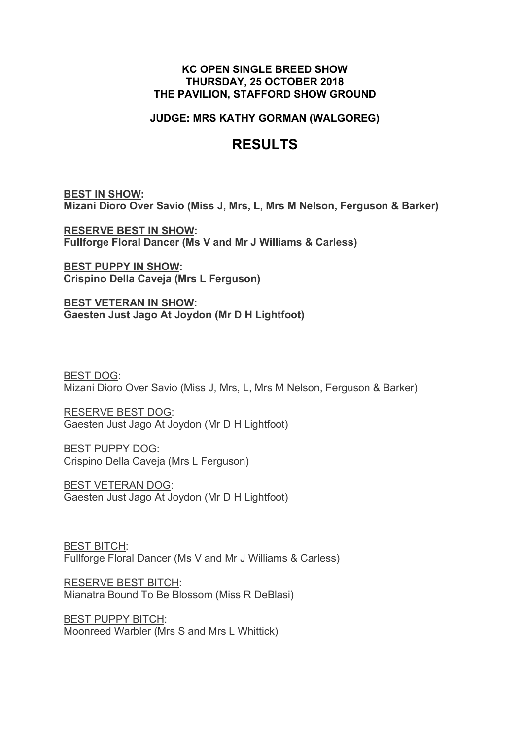#### **KC OPEN SINGLE BREED SHOW THURSDAY, 25 OCTOBER 2018 THE PAVILION, STAFFORD SHOW GROUND**

### **JUDGE: MRS KATHY GORMAN (WALGOREG)**

## **RESULTS**

**BEST IN SHOW: Mizani Dioro Over Savio (Miss J, Mrs, L, Mrs M Nelson, Ferguson & Barker)**

**RESERVE BEST IN SHOW: Fullforge Floral Dancer (Ms V and Mr J Williams & Carless)**

**BEST PUPPY IN SHOW: Crispino Della Caveja (Mrs L Ferguson)**

**BEST VETERAN IN SHOW: Gaesten Just Jago At Joydon (Mr D H Lightfoot)**

BEST DOG: Mizani Dioro Over Savio (Miss J, Mrs, L, Mrs M Nelson, Ferguson & Barker)

RESERVE BEST DOG: Gaesten Just Jago At Joydon (Mr D H Lightfoot)

BEST PUPPY DOG: Crispino Della Caveja (Mrs L Ferguson)

BEST VETERAN DOG: Gaesten Just Jago At Joydon (Mr D H Lightfoot)

BEST BITCH: Fullforge Floral Dancer (Ms V and Mr J Williams & Carless)

RESERVE BEST BITCH: Mianatra Bound To Be Blossom (Miss R DeBlasi)

BEST PUPPY BITCH: Moonreed Warbler (Mrs S and Mrs L Whittick)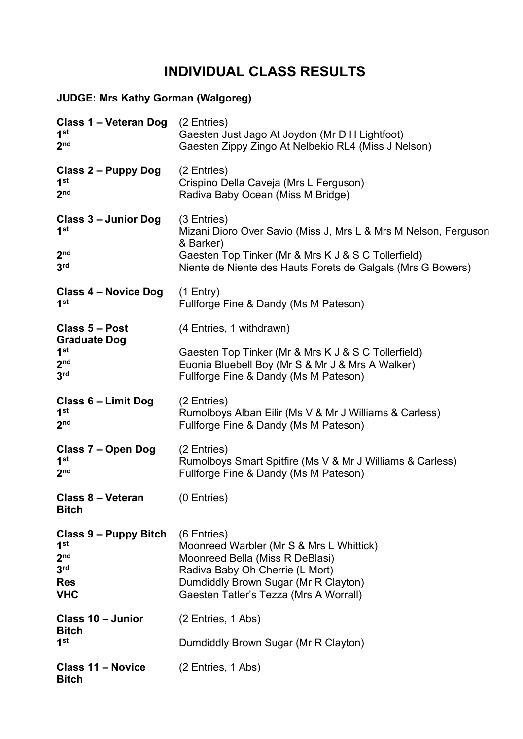# **INDIVIDUAL CLASS RESULTS**

## **JUDGE: Mrs Kathy Gorman (Walgoreg)**

| Class 1 - Veteran Dog<br>1 <sup>st</sup><br>2 <sub>nd</sub>                                                | (2 Entries)<br>Gaesten Just Jago At Joydon (Mr D H Lightfoot)<br>Gaesten Zippy Zingo At Nelbekio RL4 (Miss J Nelson)                                                                                              |
|------------------------------------------------------------------------------------------------------------|-------------------------------------------------------------------------------------------------------------------------------------------------------------------------------------------------------------------|
| Class 2 – Puppy Dog<br>1 <sup>st</sup><br>2 <sub>nd</sub>                                                  | (2 Entries)<br>Crispino Della Caveja (Mrs L Ferguson)<br>Radiva Baby Ocean (Miss M Bridge)                                                                                                                        |
| Class 3 – Junior Dog<br>1 <sup>st</sup><br>2 <sub>nd</sub><br>3 <sup>rd</sup>                              | (3 Entries)<br>Mizani Dioro Over Savio (Miss J, Mrs L & Mrs M Nelson, Ferguson<br>& Barker)<br>Gaesten Top Tinker (Mr & Mrs K J & S C Tollerfield)<br>Niente de Niente des Hauts Forets de Galgals (Mrs G Bowers) |
| Class 4 – Novice Dog<br>1 <sup>st</sup>                                                                    | $(1$ Entry)<br>Fullforge Fine & Dandy (Ms M Pateson)                                                                                                                                                              |
| Class 5 - Post<br><b>Graduate Dog</b><br>1 <sup>st</sup><br>2 <sub>nd</sub><br>3 <sup>rd</sup>             | (4 Entries, 1 withdrawn)                                                                                                                                                                                          |
|                                                                                                            | Gaesten Top Tinker (Mr & Mrs K J & S C Tollerfield)<br>Euonia Bluebell Boy (Mr S & Mr J & Mrs A Walker)<br>Fullforge Fine & Dandy (Ms M Pateson)                                                                  |
| Class 6 - Limit Dog<br>1 <sup>st</sup><br>2 <sub>nd</sub>                                                  | (2 Entries)<br>Rumolboys Alban Eilir (Ms V & Mr J Williams & Carless)<br>Fullforge Fine & Dandy (Ms M Pateson)                                                                                                    |
| Class 7 - Open Dog<br>1 <sup>st</sup><br>2 <sub>nd</sub>                                                   | (2 Entries)<br>Rumolboys Smart Spitfire (Ms V & Mr J Williams & Carless)<br>Fullforge Fine & Dandy (Ms M Pateson)                                                                                                 |
| <b>Class 8 - Veteran</b><br><b>Bitch</b>                                                                   | (0 Entries)                                                                                                                                                                                                       |
| Class 9 – Puppy Bitch<br>1 <sup>st</sup><br>2 <sub>nd</sub><br>3 <sup>rd</sup><br><b>Res</b><br><b>VHC</b> | (6 Entries)<br>Moonreed Warbler (Mr S & Mrs L Whittick)<br>Moonreed Bella (Miss R DeBlasi)<br>Radiva Baby Oh Cherrie (L Mort)<br>Dumdiddly Brown Sugar (Mr R Clayton)<br>Gaesten Tatler's Tezza (Mrs A Worrall)   |
| Class 10 - Junior<br><b>Bitch</b><br>1 <sup>st</sup>                                                       | (2 Entries, 1 Abs)                                                                                                                                                                                                |
|                                                                                                            | Dumdiddly Brown Sugar (Mr R Clayton)                                                                                                                                                                              |
| <b>Class 11 - Novice</b><br><b>Bitch</b>                                                                   | (2 Entries, 1 Abs)                                                                                                                                                                                                |